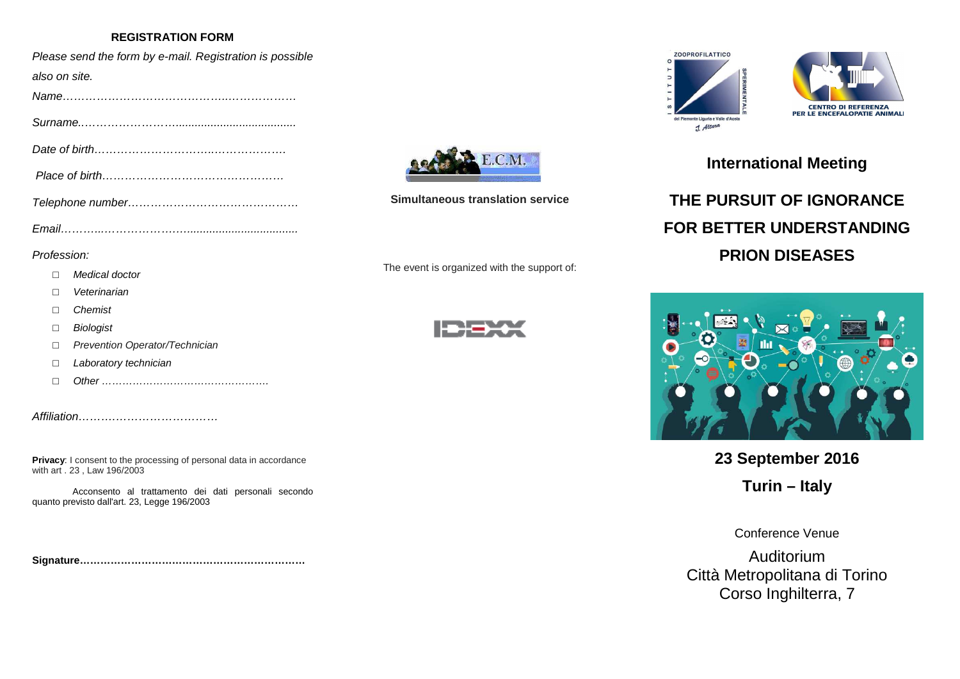### **REGISTRATION FORM**

| Please send the form by e-mail. Registration is possible |
|----------------------------------------------------------|
| also on site.                                            |
|                                                          |
|                                                          |
|                                                          |
|                                                          |
|                                                          |
|                                                          |

#### Profession:

- $\Box$ Medical doctor
- □Veterinarian
- □**Chemist**
- □**Biologist**
- □Prevention Operator/Technician
- □Laboratory technician
- $\Box$ Other ………………………………………….

Affiliation……….………………………

**Privacy:** I consent to the processing of personal data in accordance with art . 23 , Law 196/2003

Acconsento al trattamento dei dati personali secondo quanto previsto dall'art. 23, Legge 196/2003

**Signature…………………………………………………………** 



**Simultaneous translation service**

The event is organized with the support of:







## **International Meeting**

# **THE PURSUIT OF IGNORANCE FOR BETTER UNDERSTANDING PRION DISEASES**



**23 September 2016** 

**Turin – Italy** 

Conference Venue

Auditorium Città Metropolitana di Torino Corso Inghilterra, 7